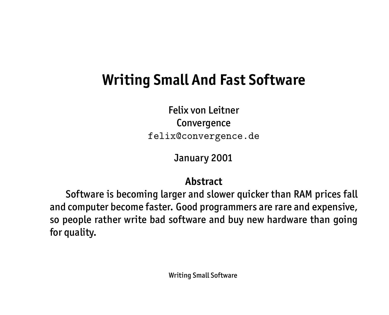# **Writing Small And Fast Software**

Felix von Leitner Convergence felix@convergence.de

January 2001

#### **Abstract**

Software is becoming larger and slower quicker than RAM prices fall and computer become faster. Good programmers are rare and expensive, so people rather write bad software and buy new hardware than going for quality.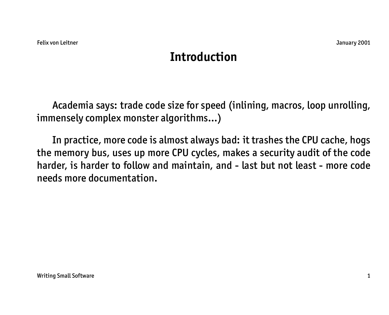## **Introduction**

Academia says: trade code size for speed (inlining, macros, loop unrolling, immensely complex monster algorithms...)

In practice, more code is almost always bad: it trashes the CPU cache, hogs the memory bus, uses up more CPU cycles, makes a security audit of the code harder, is harder to follow and maintain, and - last but not least - more code needs more documentation.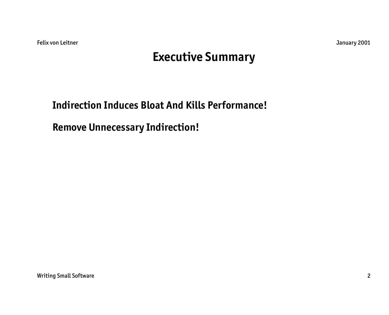Felix von Leitner January 2001

#### **Executive Summary**

**Indirection Induces Bloat And Kills Performance!**

**Remove Unnecessary Indirection!**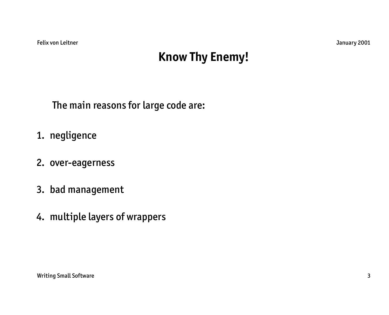## **Know Thy Enemy!**

The main reasons for large code are:

- 1. negligence
- 2. over-eagerness
- 3. bad management
- 4. multiple layers of wrappers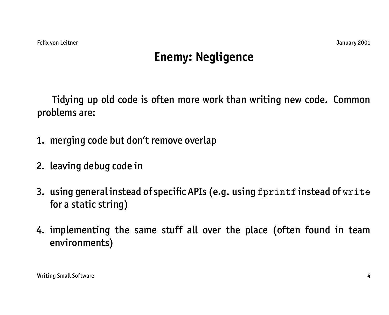## **Enemy: Negligence**

Tidying up old code is often more work than writing new code. Common problems are:

- 1. merging code but don't remove overlap
- 2. leaving debug code in
- 3. using general instead of specific APIs (e.g. using fprintf instead of write for a static string)
- 4. implementing the same stuff all over the place (often found in team environments)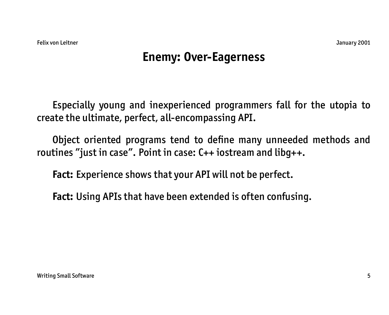## **Enemy: Over-Eagerness**

Especially young and inexperienced programmers fall for the utopia to create the ultimate, perfect, all-encompassing API.

Object oriented programs tend to define many unneeded methods and routines "just in case". Point in case: C++ iostream and libg++.

**Fact:** Experience shows that your API will not be perfect.

**Fact:** Using APIs that have been extended is often confusing.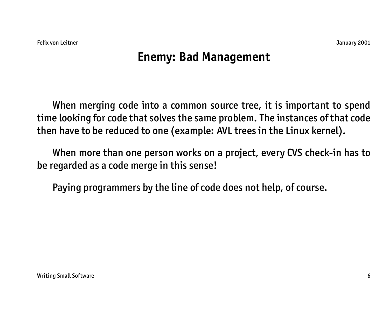## **Enemy: Bad Management**

When merging code into a common source tree, it is important to spend time looking for code that solves the same problem. The instances of that code then have to be reduced to one (example: AVL trees in the Linux kernel).

When more than one person works on a project, every CVS check-in has to be regarded as a code merge in this sense!

Paying programmers by the line of code does not help, of course.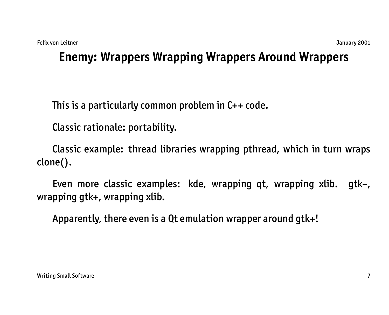## **Enemy: Wrappers Wrapping Wrappers Around Wrappers**

This is a particularly common problem in C++ code.

Classic rationale: portability.

Classic example: thread libraries wrapping pthread, which in turn wraps clone().

Even more classic examples: kde, wrapping qt, wrapping xlib. gtk–, wrapping gtk+, wrapping xlib.

Apparently, there even is a Qt emulation wrapper around gtk+!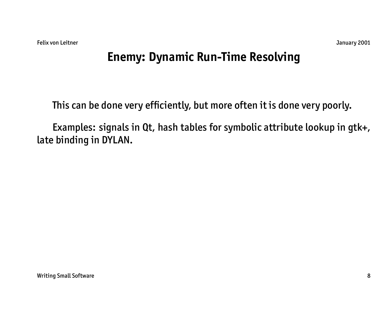## **Enemy: Dynamic Run-Time Resolving**

This can be done very efficiently, but more often it is done very poorly.

Examples: signals in Qt, hash tables for symbolic attribute lookup in gtk+, late binding in DYLAN.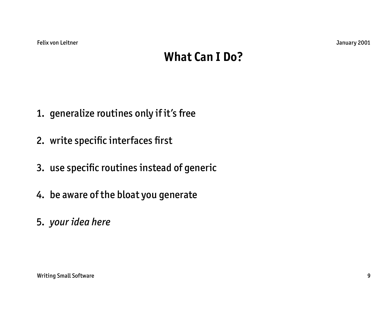### **What Can I Do?**

- 1. generalize routines only if it's free
- 2. write specific interfaces first
- 3. use specific routines instead of generic
- 4. be aware of the bloat you generate
- 5. *your idea here*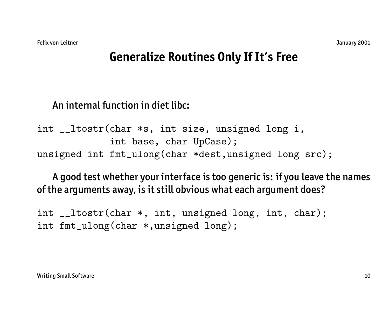#### **Generalize Routines Only If It's Free**

#### An internal function in diet libc:

int \_\_ltostr(char \*s, int size, unsigned long i, int base, char UpCase); unsigned int fmt\_ulong(char \*dest,unsigned long src);

A good test whether your interface is too generic is: if you leave the names of the arguments away, is it still obvious what each argument does?

int \_\_ltostr(char \*, int, unsigned long, int, char); int fmt\_ulong(char \*,unsigned long);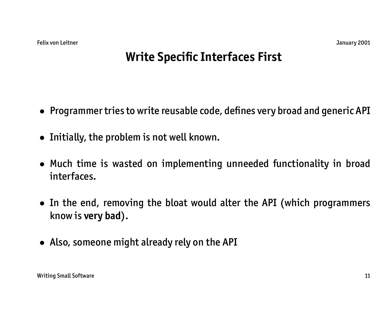## **Write Specific Interfaces First**

- Programmer tries to write reusable code, defines very broad and generic API
- Initially, the problem is not well known.
- Much time is wasted on implementing unneeded functionality in broad interfaces.
- In the end, removing the bloat would alter the API (which programmers know is **very bad**).
- Also, someone might already rely on the API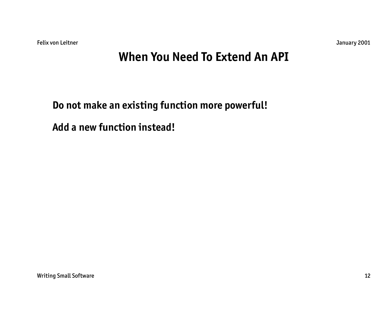Felix von Leitner January 2001

#### **When You Need To Extend An API**

#### **Do not make an existing function more powerful!**

**Add a new function instead!**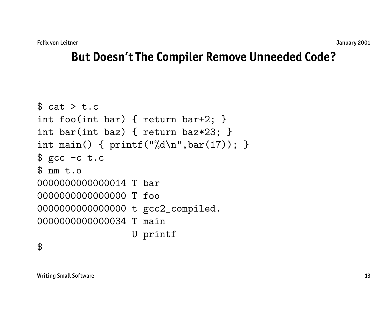#### **But Doesn't The Compiler Remove Unneeded Code?**

```
$ cat > t.c
int foo(int bar) { return bar+2; }
int bar(int baz) { return baz*23; }
int main() { print("%d\nu", bar(17)); }
$ gcc -c t.c
$ nm t.o0000000000000014 T bar
0000000000000000 T foo
0000000000000000 t gcc2_compiled.
0000000000000034 T main
                 U printf
```
\$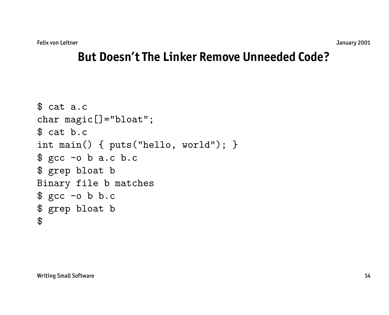#### **But Doesn't The Linker Remove Unneeded Code?**

```
$ cat a.c
char magic[]="bloat";
$ cat b.c
int main() { puts("hello, world"); }
$ gcc -o b a.c b.c
$ grep bloat b
Binary file b matches
$ gcc -o b b.c
$ grep bloat b
$
```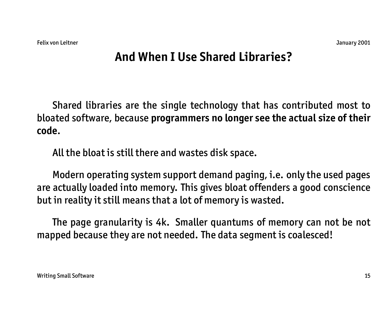## **And When I Use Shared Libraries?**

Shared libraries are the single technology that has contributed most to bloated software, because **programmers no longer see the actual size of their code**.

All the bloat is still there and wastes disk space.

Modern operating system support demand paging, i.e. only the used pages are actually loaded into memory. This gives bloat offenders a good conscience but in reality it still means that a lot of memory is wasted.

The page granularity is 4k. Smaller quantums of memory can not be not mapped because they are not needed. The data segment is coalesced!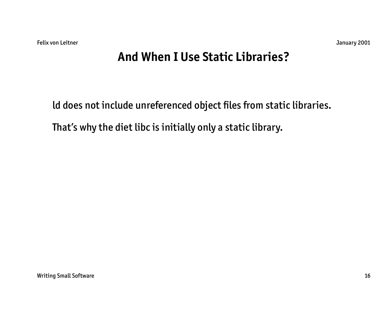## **And When I Use Static Libraries?**

ld does not include unreferenced object files from static libraries.

That's why the diet libc is initially only a static library.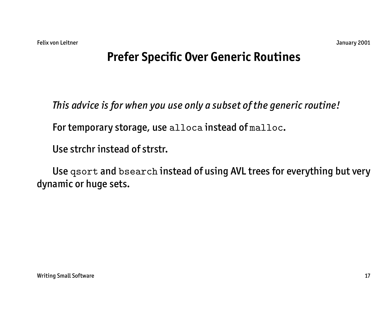## **Prefer Specific Over Generic Routines**

*This advice is for when you use only a subset of the generic routine!*

For temporary storage, use alloca instead of malloc.

Use strchr instead of strstr.

Use qsort and bsearch instead of using AVL trees for everything but very dynamic or huge sets.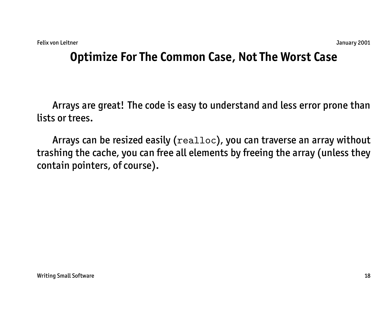## **Optimize For The Common Case, Not The Worst Case**

Arrays are great! The code is easy to understand and less error prone than lists or trees.

Arrays can be resized easily (realloc), you can traverse an array without trashing the cache, you can free all elements by freeing the array (unless they contain pointers, of course).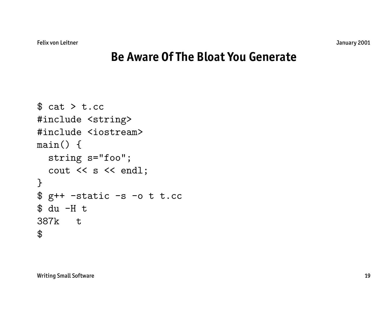#### **Be Aware Of The Bloat You Generate**

```
$ cat > t.cc#include <string>
#include <iostream>
main() {
  string s="foo";
  cout << s << endl;
}
$ g++ -static -s -o t t.cc$ du -H t
387k t
\boldsymbol{\theta}
```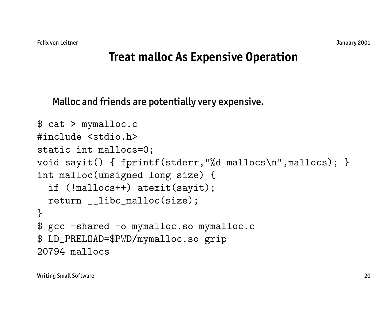#### **Treat malloc As Expensive Operation**

Malloc and friends are potentially very expensive.

```
$ cat > mymalloc.c
#include <stdio.h>
static int mallocs=0;
void sayit() { fprintf(stderr,"%d mallocs\n",mallocs); }
int malloc(unsigned long size) {
  if (!mallocs++) atexit(sayit);
 return __libc_malloc(size);
}
$ gcc -shared -o mymalloc.so mymalloc.c
$ LD_PRELOAD=$PWD/mymalloc.so grip
20794 mallocs
```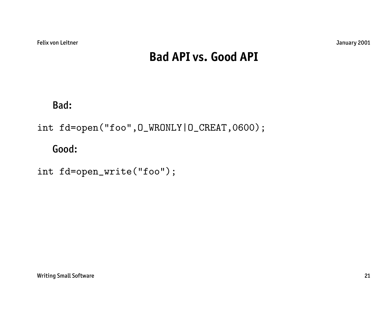## **Bad API vs. Good API**

Bad:

int fd=open("foo",O\_WRONLY|O\_CREAT,0600);

Good:

int fd=open\_write("foo");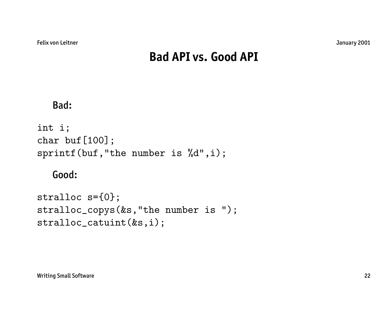## **Bad API vs. Good API**

#### Bad:

```
int i;
char buf [100];
sprintf(buf,"the number is %d",i);
```
#### Good:

```
stralloc s={0};
stralloc_copys(&s,"the number is ");
stralloc_catuint(&s,i);
```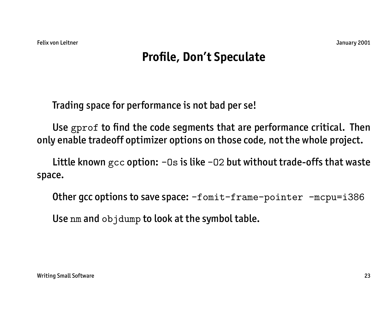## **Profile, Don't Speculate**

Trading space for performance is not bad per se!

Use gprof to find the code segments that are performance critical. Then only enable tradeoff optimizer options on those code, not the whole project.

Little known  $\text{gcc}$  option:  $-0s$  is like  $-02$  but without trade-offs that waste space.

Other gcc options to save space:  $-f$ omit-frame-pointer -mcpu=i386

Use nm and objdump to look at the symbol table.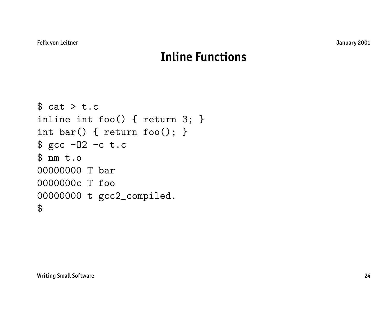### **Inline Functions**

```
$ cat > t.cinline int foo() { return 3; }
int bar() { return foo(); }
$ gcc -O2 -c t.c
$ nm t.o
00000000 T bar
0000000c T foo
00000000 t gcc2_compiled.
\boldsymbol{\mathcal{F}}
```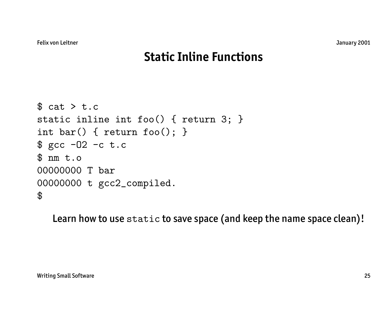## **Static Inline Functions**

```
$ cat > t.cstatic inline int foo() { return 3; }
int bar() { return foo(); }
$ gcc -O2 -c t.c
$ nm t.o
00000000 T bar
00000000 t gcc2_compiled.
$
```
Learn how to use static to save space (and keep the name space clean)!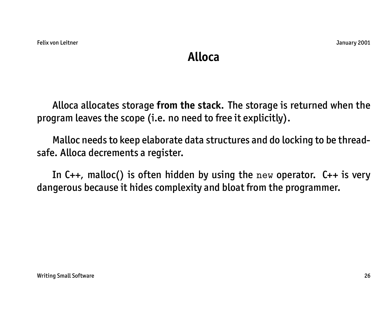#### **Alloca**

Alloca allocates storage **from the stack**. The storage is returned when the program leaves the scope (i.e. no need to free it explicitly).

Malloc needs to keep elaborate data structures and do locking to be threadsafe. Alloca decrements a register.

In  $C_{++}$ , malloc() is often hidden by using the new operator.  $C_{++}$  is very dangerous because it hides complexity and bloat from the programmer.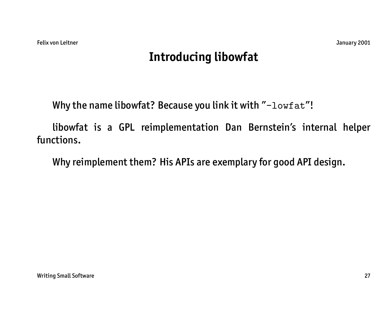## **Introducing libowfat**

Why the name libowfat? Because you link it with "-lowfat"!

libowfat is a GPL reimplementation Dan Bernstein's internal helper functions.

Why reimplement them? His APIs are exemplary for good API design.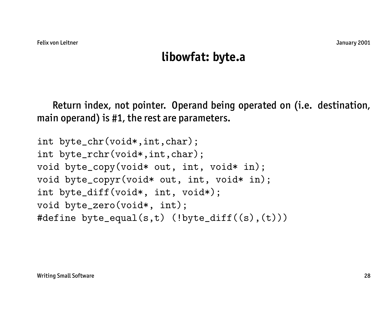#### **libowfat: byte.a**

Return index, not pointer. Operand being operated on (i.e. destination, main operand) is #1, the rest are parameters.

```
int byte_chr(void*,int,char);
int byte_rchr(void*,int,char);
void byte_copy(void* out, int, void* in);
void byte_copyr(void* out, int, void* in);
int byte_diff(void*, int, void*);
void byte_zero(void*, int);
#define byte_equal(s,t) (!byte_diff((s),(t)))
```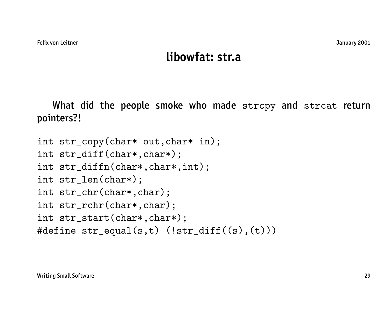#### **libowfat: str.a**

What did the people smoke who made strcpy and strcat return pointers?!

```
int str_copy(char* out,char* in);
int str_diff(char*,char*);
int str_diffn(char*,char*,int);
int str_len(char*);
int str_chr(char*,char);
int str_rchr(char*,char);
int str_start(char*,char*);
#define str_equal(s,t) (!str_diff((s),(t)))
```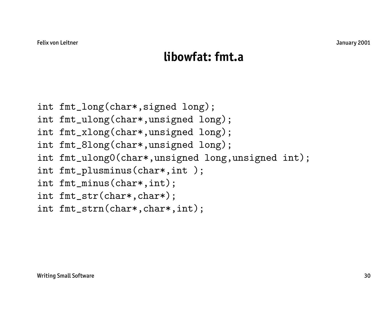#### **libowfat: fmt.a**

- int fmt\_long(char\*,signed long);
- int fmt\_ulong(char\*,unsigned long);
- int fmt\_xlong(char\*,unsigned long);
- int fmt\_8long(char\*,unsigned long);
- int fmt\_ulong0(char\*,unsigned long,unsigned int);
- int fmt\_plusminus(char\*,int );
- int fmt\_minus(char\*,int);
- int fmt\_str(char\*,char\*);
- int fmt\_strn(char\*,char\*,int);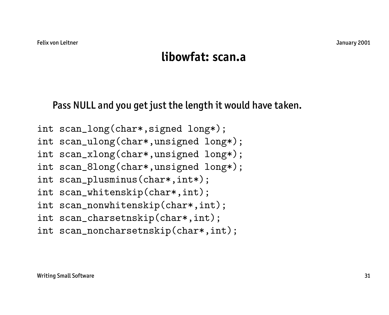#### **libowfat: scan.a**

Pass NULL and you get just the length it would have taken.

int scan\_long(char\*,signed long\*); int scan\_ulong(char\*,unsigned long\*); int scan\_xlong(char\*,unsigned long\*); int scan\_8long(char\*,unsigned long\*); int scan\_plusminus(char\*,int\*); int scan\_whitenskip(char\*,int); int scan\_nonwhitenskip(char\*,int); int scan\_charsetnskip(char\*,int); int scan\_noncharsetnskip(char\*,int);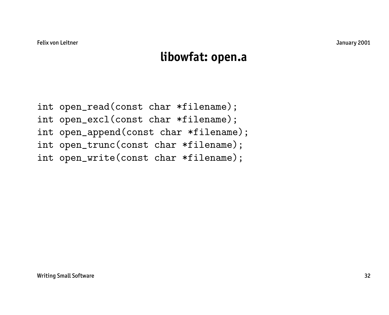#### **libowfat: open.a**

int open\_read(const char \*filename); int open\_excl(const char \*filename); int open\_append(const char \*filename); int open\_trunc(const char \*filename); int open\_write(const char \*filename);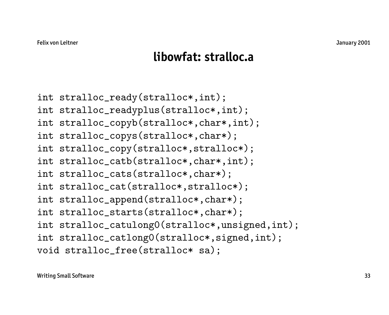#### **libowfat: stralloc.a**

int stralloc\_ready(stralloc\*,int); int stralloc\_readyplus(stralloc\*,int); int stralloc\_copyb(stralloc\*,char\*,int); int stralloc\_copys(stralloc\*,char\*); int stralloc\_copy(stralloc\*,stralloc\*); int stralloc\_catb(stralloc\*,char\*,int); int stralloc\_cats(stralloc\*,char\*); int stralloc\_cat(stralloc\*,stralloc\*); int stralloc\_append(stralloc\*,char\*); int stralloc\_starts(stralloc\*,char\*); int stralloc\_catulong0(stralloc\*,unsigned,int); int stralloc\_catlong0(stralloc\*,signed,int); void stralloc\_free(stralloc\* sa);